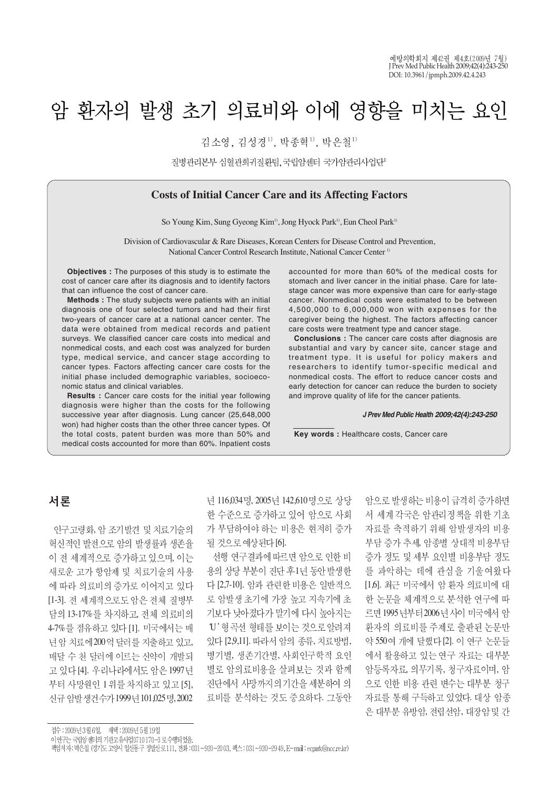# 암 환자의 발생 초기 의료비와 이에 영향을 미치는 요인

김소영, 김성경<sup>1)</sup>, 박종혁<sup>1)</sup>, 박은철<sup>1)</sup>

질병관리본부 심혈관희귀질환팀, 국립암센터 국가암관리사업단<sup>》</sup>

#### **Costs of Initial Cancer Care and its Affecting Factors**

So Young Kim, Sung Gyeong Kim<sup>1)</sup>, Jong Hyock Park<sup>1)</sup>, Eun Cheol Park<sup>1)</sup>

Division of Cardiovascular & Rare Diseases, Korean Centers for Disease Control and Prevention, National Cancer Control Research Institute, National Cancer Center 1)

**Objectives :** The purposes of this study is to estimate the cost of cancer care after its diagnosis and to identify factors that can influence the cost of cancer care.

**Methods :** The study subjects were patients with an initial diagnosis one of four selected tumors and had their first two-years of cancer care at a national cancer center. The data were obtained from medical records and patient surveys. We classified cancer care costs into medical and nonmedical costs, and each cost was analyzed for burden type, medical service, and cancer stage according to cancer types. Factors affecting cancer care costs for the initial phase included demographic variables, socioeconomic status and clinical variables.

**Results :** Cancer care costs for the initial year following diagnosis were higher than the costs for the following successive year after diagnosis. Lung cancer (25,648,000 won) had higher costs than the other three cancer types. Of the total costs, patent burden was more than 50% and medical costs accounted for more than 60%. Inpatient costs accounted for more than 60% of the medical costs for stomach and liver cancer in the initial phase. Care for latestage cancer was more expensive than care for early-stage cancer. Nonmedical costs were estimated to be between 4,500,000 to 6,000,000 won with expenses for the caregiver being the highest. The factors affecting cancer care costs were treatment type and cancer stage.

**Conclusions :** The cancer care costs after diagnosis are substantial and vary by cancer site, cancer stage and treatment type. It is useful for policy makers and researchers to identify tumor-specific medical and nonmedical costs. The effort to reduce cancer costs and early detection for cancer can reduce the burden to society and improve quality of life for the cancer patients.

#### *J Prev Med Public Health 2009;42(4):243-250*

**Key words :** Healthcare costs, Cancer care

#### 서론

인구고령화, 암 조기발견 및 치료기술의 혁신적인 발전으로 암의 발생률과 생존율 이 전 세계적으로 증가하고 있으며, 이는 새로운 고가 항암제 및 치료기술의 사용 에 따라 의료비의 증가로 이어지고 있다 [1-3]. 전 세계적으로도 암은 전체 질병부 담의 13-17%를 차지하고, 전체 의료비의 4-7%를 점유하고 있다 [1]. 미국에서는 매 년 암 치료에 200억 달러를 지출하고 있고, 매달 수 천 달러에 이르는 신약이 개발되 고 있다 [4]. 우리나라에서도 암은 1997년 부터 사망원인 1위를 차지하고 있고 [5], 신규 암발생건수가 1999년 101,025 명, 2002

한 수준으로 증가하고 있어 암으로 사회 서 세계 각국은 암관리정책을 위한 기초 가 부담하여야 하는 비용은 현저히 증가 될 것으로 예상된다 [6].

선행 연구결과에 따르면 암으로 인한 비 용의 상당 부분이 진단 후1년 동안 발생한 다 [2,7-10]. 암과 관련한 비용은 일반적으 로 암발생 초기에 가장 높고 지속기에 초 기보다 낮아졌다가 말기에 다시 높아지는 U'형 곡선 형태를 보이는 것으로 알려져 있다 [2,9,11]. 따라서 암의 종류, 치료방법, 병기별, 생존기간별, 사회인구학적 요인 별로 암의료비용을 살펴보는 것과 함께 진단에서 사망까지의 기간을 세분하여 의 료비를 분석하는 것도 중요하다. 그동안

년 116,034명, 2005년 142,610명으로 상당 암으로 발생하는 비용이 급격히 증가하면 자료를 축적하기 위해 암발생자의 비용 부담 증가 추세, 암종별 상대적 비용부담 증가 정도 및 세부 요인별 비용부담 정도 를 파악하는 데에 관심을 기울여왔다 [1,6]. 최근 미국에서 암 환자 의료비에 대 한 논문을 체계적으로 분석한 연구에 따 르면 1995 년부터 2006년 사이 미국에서 암 환자의 의료비를 주제로 출판된 논문만 약 550여 개에 달했다 [2]. 이 연구 논문들 에서 활용하고 있는 연구 자료는 대부분 암등록자료, 의무기록, 청구자료이며, 암 으로 인한 비용 관련 변수는 대부분 청구 자료를 통해 구득하고 있었다. 대상 암종 은 대부분 유방암, 전립선암, 대장암 및 간

접수: 2009년 3월 6일, 채택: 2009년 5월 19일

이연구는 국립암센터의 기관고 유사업 0710 170-3 로수행되었음.

책임저자: 박은철 (경기도 고양시 일산동구 정발산로111, 전화 : 031-920-2003, 팩스 : 031-920-29 49, E-mail : ecpark@nccrekr)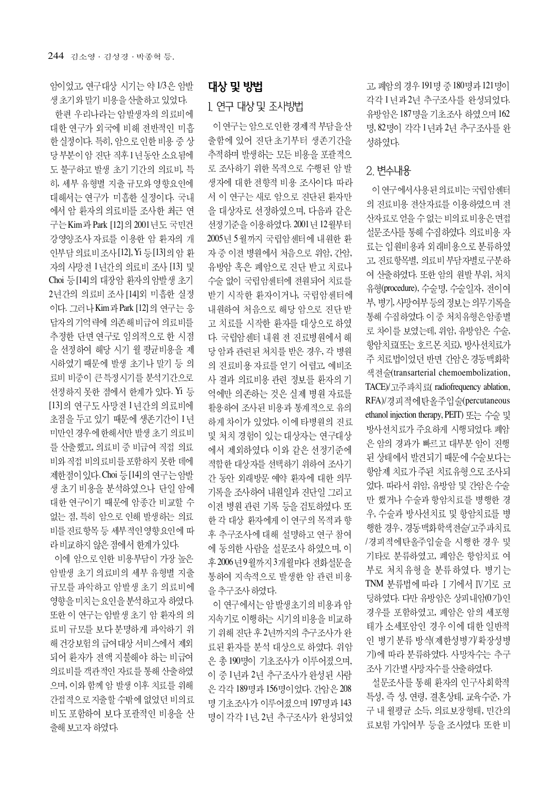암이었고, 연구대상 시기는 약 1/3은 암발 생 초기와 말기 비용을 산출하고 있었다.

한편 우리나라는 암발생자의 의료비에 대한 연구가 외국에 비해 전반적인 미흡 한 실정이다. 특히, 암으로 인한 비용 중 상 당 부분이 암 진단 직후 1년 동안 소요됨에 도 불구하고 발생 초기 기간의 의료비, 특 히, 세부 유형별 지출 규모와 영향요인에 대해서는 연구가 미흡한 실정이다. 국내 에서 암 화자의 의료비를 조사한 최근 연 구는 Kim과 Park [12] 의 2001년도 국민건 강영양조사 자료를 이용한 암 화자의 개 이부담 의료비 조사 [12], Yi 등 [13] 의 암 화 자의 사망전 1년간의 의료비 조사 [13] 및 Choi 등 [14]의 대장암 환자의 암발생 초기 2년간의 의료비 조사 [14]외 미흡한 실정 이다. 그러나 Kim 과 Park [12] 의 연구는 응 답자의 기억력에 의존해 비급여 의료비를 추정한 단면 연구로 임의적으로 한 시점 을 선정하여 해당 시기 월 평균비용을 제 시하였기 때문에 발생 초기나 말기 등 의 료비 비중이 큰 특정시기를 분석기간으로 선정하지 못한 점에서 한계가 있다. Yi 등 [13]의 연구도 사망전 1년간의 의료비에 초점을 두고 있기 때문에 생존기간이 1년 미만인 경우에 한해서만 발생 초기 의료비 를 산출했고, 의료비 중 비급여 직접 의료 비와 직접 비의료비를 포함하지 못한 데에 제한점이 있다. Choi 등 [14]의 연구는 암발 생 초기 비용을 분석하였으나 단일 암에 대한 연구이기 때문에 암종간 비교할 수 없는 점, 특히 암으로 인해 발생하는 의료 비를 진료항목 등 세부적인 영향요인에 따 라 비교하지 않은 점에서 한계가 있다.

이에 암으로 인한 비용부담이 가장 높은 암발생 초기 의료비의 세부 유형별 지출 규모를 파악하고 암발생 초기 의료비에 영향을 미치는 요인을 분석하고자 하였다. 또한 이 연구는 암발생 초기 암 환자의 의 료비 규모를 보다 분명하게 파악하기 위 해 건강보험의 급여대상 서비스에서 제외 되어 환자가 전액 지불해야 하는 비급여 의료비를 객관적인 자료를 통해 산출하였 으며, 이와 함께 암 발생 이후 치료를 위해 간접적으로 지출할 수밖에 없었던 비의료 비도 포함하여 보다 포괄적인 비용을 산 출해 보고자 하였다.

# 대상 및 방법

## 1. 연구 대상 및 조사빙법

이 여구는 암으로 인한 경제적 부담을 산 출함에 있어 진단 초기부터 생존기간을 추적하며 발생하는 모든 비용을 포괄적으 로 조사하기 위한 목적으로 수행된 암 발 생자에 대한 전향적 비용 조사이다. 따라 서 이 연구는 새로 암으로 진단된 환자만 을 대상자로 선정하였으며, 다음과 같은 선정기준을 이용하였다. 2001년 12월부터 2005년 5월까지 국립암센터에 내워한 화 자 중 이전 병원에서 처음으로 위암, 간암, 유방암 혹은 폐암으로 진단 받고 치료나 수술 없이 국립암세터에 전원되어 치료를 받기 시작한 화자이거나, 국립암센터에 내워하여 처음으로 해당 암으로 진단 받 고 치료를 시작한 환자를 대상으로 하였 다. 국립암세터 내워 전 진료병원에서 해 당 암과 관련된 처치를 받은 경우, 각 병원 의 진료비용 자료를 얻기 어렵고, 예비조 사 결과 의료비용 관련 정보를 환자의 기 억에만 의존하는 것은 실제 병원 자료를 활용하여 조사된 비용과 통계적으로 유의 하게 차이가 있었다. 이에 타병원의 진료 및 처치 경험이 있는 대상자는 연구대상 에서 제외하였다. 이와 같은 선정기준에 적합한 대상자를 선택하기 위하여 조사기 간 동안 외래방문 예약 환자에 대한 의무 기록을 조사하여 내원일과 진단일 그리고 이전 병원 관련 기록 등을 검토하였다. 또 한 각 대상 환자에게 이 연구의 목적과 향 후 추구조사에 대해 설명하고 연구 참여 에 동의한 사람을 설문조사 하였으며, 이 후 2006년 9 월까지 3개월마다 전화설문을 통하여 지속적으로 발생한 암 관련 비용 을 추구조사 하였다.

이 연구에서는 암 발생초기의 비용과 암 지속기로 이행하는 시기의 비용을 비교하 기 위해 진단 후 2년까지의 추구조사가 완 료된 환자를 분석 대상으로 하였다. 위암 은 총 190명이 기초조사가 이루어졌으며, 이 중 1년과 2년 추구조사가 완성된 사람 은 각각 189명과 156명이었다. 간암은 208 명 기초조사가 이루어졌으며 197명과 143 명이 각각 1년, 2년 추구조사가 완성되었

고, 폐암의 경우 191명 중 180명과 121명이 각각 1 년과 2년 추구조사를 완성되었다. 유방암은 187명을 기초조사 하였으며 162 명, 82명이 각각 1년과 2년 추구조사를 완 성하였다.

#### 2 변수내용

이 연구에서 사용된 의료비는 국립암센터 의 진료비용 전산자료를 이용하였으며 전 산자료로 얻을 수 없는 비의료 비용은 면접 설문조사를 통해 수집하였다. 의료비용 자 료는 입원비용과 외래비용으로 분류하였 고, 진료항목별, 의료비 부담자별로 구분하 여 산출하였다. 또한 암의 원발 부위, 처치 유형(procedure), 수술명, 수술일자, 전이여 부, 병기, 사망여부 등의 정보는 의무기록을 통해 수집하였다. 이 중 처치 유형은 암종별 로 차이를 보였는데, 위암, 유방암은 수술, 항암치료(또는 호르몬 치료), 방사선치료가 주 치료법이었던 반면 간암은 경동맥화학 색전술(transarterial chemoembolization, TACE)/ 고주 파치 료 radiofrequency ablation, RFA)/경피적에탄올주입술(percutaneous ethanol injection therapy, PEIT) 또는 수술 및 방사선치료가 주요하게 시행되었다. 폐암 은 암의 경과가 빠르고 대부분 암이 진행 된 상태에서 발견되기 때문에 수술보다는 항암제 치료가주된 치료유형으로 조사되 었다. 따라서 위암, 유방암 및 간암은 수술 만 했거나 수술과 항암치료를 병행한 경 우, 수술과 방사선치료 및 항암치료를 병 행한 경우, 경동맥화학색전술/고주파치료 /경피적에탄올주입술을 시행한 경우 및 기타로 분류하였고, 폐암은 항암치료 여 부로 처치 유형을 분류하였다. 병기는 TNM 분류법에 따라 I 기에서 IV기로 코 딩하였다. 다만 유방암은 상피내암(0기)인 경우를 포함하였고, 폐암은 암의 세포형 태가 소세포암인 경우 이에 대한 일반적 인 병기 분류 방식(제한성병기/확장성병 기)에 따라 분류하였다. 사망자수는 추구 조사 기간별사망자수를 산출하였다.

설문조사를 통해 환자의 인구사회학적 특성, 즉 성, 연령, 결혼상태, 교육수준, 가 구 내 월평균 소득, 의료보장형태, 민간의 료보험 가입여부 등을 조사였다. 또한 비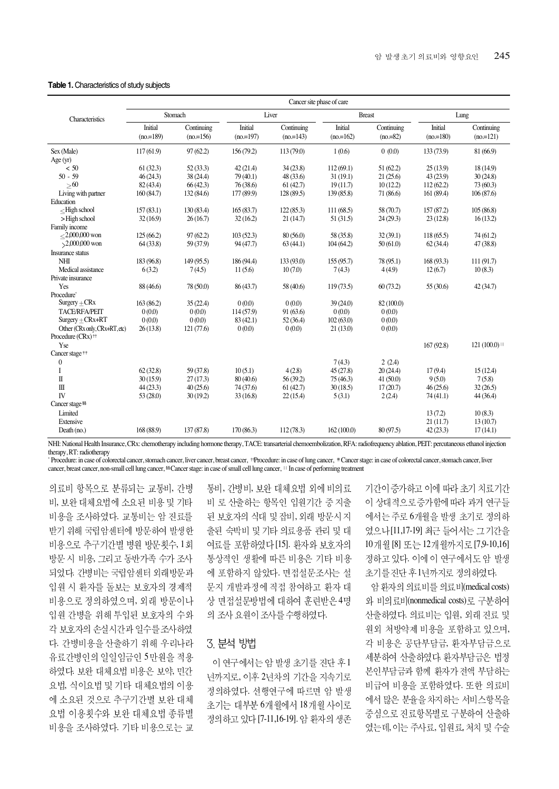#### **Table 1.** Characteristics of study subjects

|                                                                              | Cancer site phase of care |                          |                       |                          |                       |                         |                       |                          |  |  |  |  |
|------------------------------------------------------------------------------|---------------------------|--------------------------|-----------------------|--------------------------|-----------------------|-------------------------|-----------------------|--------------------------|--|--|--|--|
| Characteristics                                                              | Stomach                   |                          |                       | Liver                    | <b>Breast</b>         |                         | Lung                  |                          |  |  |  |  |
|                                                                              | Initial<br>$(no=189)$     | Continuing<br>$(no=156)$ | Initial<br>$(no=197)$ | Continuing<br>$(no=143)$ | Initial<br>$(no=162)$ | Continuing<br>$(no=82)$ | Initial<br>$(no=180)$ | Continuing<br>$(no=121)$ |  |  |  |  |
| Sex (Male)                                                                   | 117(61.9)                 | 97(62.2)                 | 156(79.2)             | 113 (79.0)               | 1(0.6)                | 0(0.0)                  | 133 (73.9)            | 81 (66.9)                |  |  |  |  |
| Age(yr)                                                                      |                           |                          |                       |                          |                       |                         |                       |                          |  |  |  |  |
| < 50                                                                         | 61(32.3)                  | 52(33.3)                 | 42(21.4)              | 34(23.8)                 | 112(69.1)             | 51(62.2)                | 25(13.9)              | 18(14.9)                 |  |  |  |  |
| $50 - 59$                                                                    | 46(24.3)                  | 38 (24.4)                | 79(40.1)              | 48(33.6)                 | 31(19.1)              | 21(25.6)                | 43(23.9)              | 30(24.8)                 |  |  |  |  |
| > 60                                                                         | 82 (43.4)                 | 66(42.3)                 | 76(38.6)              | 61(42.7)                 | 19(11.7)              | 10(12.2)                | 112(62.2)             | 73(60.3)                 |  |  |  |  |
| Living with partner                                                          | 160(84.7)                 | 132(84.6)                | 177(89.9)             | 128 (89.5)               | 139 (85.8)            | 71(86.6)                | 161 (89.4)            | 106(87.6)                |  |  |  |  |
| Education                                                                    |                           |                          |                       |                          |                       |                         |                       |                          |  |  |  |  |
| $\leq$ High school                                                           | 157(83.1)                 | 130(83.4)                | 165(83.7)             | 122(85.3)                | 111(68.5)             | 58 (70.7)               | 157 (87.2)            | 105(86.8)                |  |  |  |  |
| $>$ High school                                                              | 32(16.9)                  | 26(16.7)                 | 32(16.2)              | 21(14.7)                 | 51(31.5)              | 24(29.3)                | 23(12.8)              | 16(13.2)                 |  |  |  |  |
| Family income                                                                |                           |                          |                       |                          |                       |                         |                       |                          |  |  |  |  |
| $< 2,000,000$ won                                                            | 125(66.2)                 | 97(62.2)                 | 103(52.3)             | 80(56.0)                 | 58 (35.8)             | 32(39.1)                | 118(65.5)             | 74(61.2)                 |  |  |  |  |
| $>2,000,000$ won                                                             | 64(33.8)                  | 59 (37.9)                | 94(47.7)              | 63(44.1)                 | 104(64.2)             | 50(61.0)                | 62(34.4)              | 47(38.8)                 |  |  |  |  |
| Insurance status                                                             |                           |                          |                       |                          |                       |                         |                       |                          |  |  |  |  |
| NHI                                                                          | 183 (96.8)                | 149(95.5)                | 186 (94.4)            | 133(93.0)                | 155(95.7)             | 78(95.1)                | 168 (93.3)            | 111(91.7)                |  |  |  |  |
| Medical assistance                                                           | 6(3.2)                    | 7(4.5)                   | 11(5.6)               | 10(7.0)                  | 7(4.3)                | 4(4.9)                  | 12(6.7)               | 10(8.3)                  |  |  |  |  |
| Private insurance                                                            |                           |                          |                       |                          |                       |                         |                       |                          |  |  |  |  |
| Yes                                                                          | 88 (46.6)                 | 78 (50.0)                | 86(43.7)              | 58 (40.6)                | 119(73.5)             | 60(73.2)                | 55(30.6)              | 42(34.7)                 |  |  |  |  |
| Procedure <sup>®</sup>                                                       |                           |                          |                       |                          |                       |                         |                       |                          |  |  |  |  |
| $Surgery + CRx$                                                              | 163(86.2)                 | 35(22.4)                 | 0(0.0)                | 0(0.0)                   | 39(24.0)              | 82(100.0)               |                       |                          |  |  |  |  |
| <b>TACE/RFA/PEIT</b>                                                         | 0(0.0)                    | 0(0.0)                   | 114(57.9)             | 91(63.6)                 | 0(0.0)                | 0(0.0)                  |                       |                          |  |  |  |  |
| $Surgery + CRx + RT$                                                         | 0(0.0)                    | 0(0.0)                   | 83(42.1)              | 52(36.4)                 | 102(63.0)             | 0(0.0)                  |                       |                          |  |  |  |  |
| Other (CRx only, CRx+RT, etc)<br>Procedure $(CRx)$ <sup><math>+</math></sup> | 26(13.8)                  | 121(77.6)                | 0(0.0)                | 0(0.0)                   | 21(13.0)              | 0(0.0)                  |                       |                          |  |  |  |  |
| Yse                                                                          |                           |                          |                       |                          |                       |                         | 167(92.8)             | 121(100.0)               |  |  |  |  |
| Cancer stage <sup>++</sup>                                                   |                           |                          |                       |                          |                       |                         |                       |                          |  |  |  |  |
| $\mathbf{0}$                                                                 |                           |                          |                       |                          | 7(4.3)                | 2(2.4)                  |                       |                          |  |  |  |  |
| I                                                                            | 62(32.8)                  | 59 (37.8)                | 10(5.1)               | 4(2.8)                   | 45(27.8)              | 20(24.4)                | 17(9.4)               | 15(12.4)                 |  |  |  |  |
| Π                                                                            | 30(15.9)                  | 27(17.3)                 | 80(40.6)              | 56(39.2)                 | 75(46.3)              | 41(50.0)                | 9(5.0)                | 7(5.8)                   |  |  |  |  |
| $\rm III$                                                                    | 44(23.3)                  | 40(25.6)                 | 74(37.6)              | 61(42.7)                 | 30(18.5)              | 17(20.7)                | 46(25.6)              | 32(26.5)                 |  |  |  |  |
| IV                                                                           | 53(28.0)                  | 30(19.2)                 | 33(16.8)              | 22(15.4)                 | 5(3.1)                | 2(2.4)                  | 74(41.1)              | 44(36.4)                 |  |  |  |  |
| Cancer stage <sup>§§</sup>                                                   |                           |                          |                       |                          |                       |                         |                       |                          |  |  |  |  |
| Limited                                                                      |                           |                          |                       |                          |                       |                         | 13(72)                | 10(8.3)                  |  |  |  |  |
| Extensive                                                                    |                           |                          |                       |                          |                       |                         | 21(11.7)              | 13(10.7)                 |  |  |  |  |
| Death (no.)                                                                  | 168 (88.9)                | 137 (87.8)               | 170(86.3)             | 112(78.3)                | 162(100.0)            | 80(97.5)                | 42(23.3)              | 17(14.1)                 |  |  |  |  |

NHI: National Health Insurance, CRx: chemotherapy including hormone therapy, TACE: transarterial chemoembolization, RFA: radiofrequency ablation, PEIT: percutaneous ethanol injection therapy, RT: radiotherapy

\* Procedure: in case of colorectal cancer, stomach cancer, liver cancer, breast cancer, #Procedure: in case of lung cancer, \* Cancer stage: in case of colorectal cancer, stomach cancer, liver cancer, breast cancer, non-small cell lung cancer, §§ Cancer stage: in case of small cell lung cancer,  $\blacksquare$  In case of performing treatment

의료비 항목으로 분류되는 교통비, 간병 비, 보완 대체요법에 소요된 비용 및 기타 비용을 조사하였다. 교통비는 암 진료를 받기 위해 국립암센터에 방문하여 발생한 비용으로 추구기간별 병원 방문횟수, 1회 방문 시 비용, 그리고 동반가족 수가 조사 되었다. 간병비는 국립암센터 외래방문과 입원 시 환자를 돌보는 보호자의 경제적 비용으로 정의하였으며, 외래 방문이나 입원 간병을 위해 투입된 보호자의 수와 각 보호자의 손실시간과 일수를 조사하였 다. 간병비용을 산출하기 위해 우리나라 유료간병인의 일일임금인 5만원을 적용 하였다. 보완 대체요법 비용은 보약, 민간 요법, 식이요법 및 기타 대체요법의 이용 에 소요된 것으로 추구기간별 보완 대체 요법 이용횟수와 보완 대체요법 종류별 비용을 조사하였다. 기타 비용으로는 교

통비, 간병비, 보완 대체요법 외에 비의료 비 로 산출하는 항목인 입원기간 중 지출 된 보호자의 식대 및 잡비, 외래 방문시지 출된 숙박비 및 기타 의료용품 관리 및 대 여료를 포함하였다 [15]. 환자와 보호자의 통상적인 생활에 따른 비용은 기타 비용 에 포함하지 않았다. 면접설문조사는 설 문지 개발과정에 직접 참여하고 환자 대 상 면접설문방법에 대하여 훈련받은 4명 의 조사 요원이 조사를 수행하였다.

#### 3 분석 방법

이 연구에서는 암 발생 초기를 진단 후 1 년까지로, 이후 2년차의 기간을 지속기로 정의하였다. 선행연구에 따르면 암 발생 초기는 대부분 6개월에서 18개월 사이로 정의하고 있다 [7-11,16-19]. 암 환자의 생존 기간이 증가하고 이에 따라 초기 치료기간 이 상대적으로 증가함에 따라 과거 여구들 에서는 주로 6개월을 발생 초기로 정의하 였으나 [11,17-19] 최근 들어서는 그기간을 10 개월 [8] 또는 12개월까지로 [7,9-10,16] 정하고 있다. 이에 이 연구에서도 암 발생 초기를 진단 후 1년까지로 정의하였다.

암 환자의 의료비를 의료비(medical costs) 와 비의료비(nonmedical costs)로 구분하여 산출하였다. 의료비는 입원, 외래 진료 및 원외 처방약제 비용을 포함하고 있으며, 각 비용은 공단부담금, 환자부담금으로 세분하여 산출하였다. 환자부담금은 법정 본인부담금과 함께 환자가 전액 부담하는 비급여 비용을 포함하였다. 또한 의료비 에서 많은 분율을 차지하는 서비스항목을 중심으로 진료항목별로 구분하여 산출하 였는데, 이는 주사료, 입원료, 처치 및 수술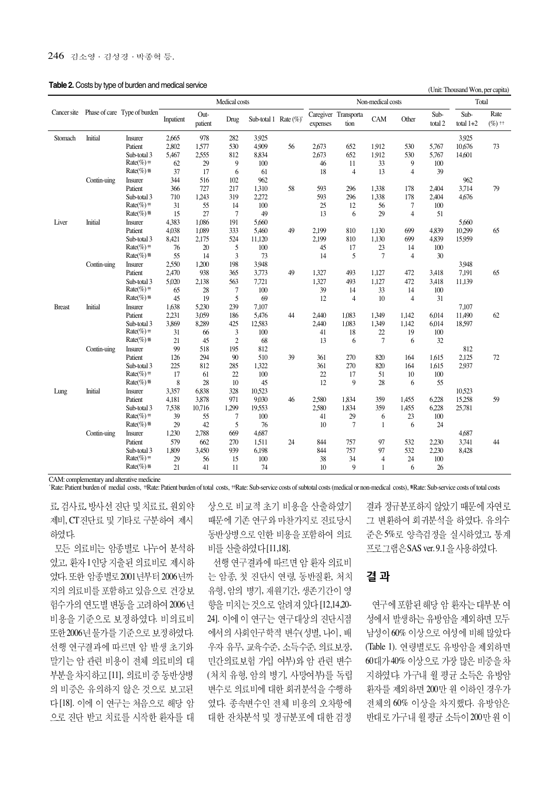**Table 2.** Costs by type of burden and medical service (Unit: Thousand Won, per capita)

|               |             |                                          | Medical costs |                 |            |                           |    | Non-medical costs |                              |                |                | Total           |                     |                             |
|---------------|-------------|------------------------------------------|---------------|-----------------|------------|---------------------------|----|-------------------|------------------------------|----------------|----------------|-----------------|---------------------|-----------------------------|
|               |             | Cancer site Phase of care Type of burden | Inpatient     | Out-<br>patient | Drug       | Sub-total 1 Rate $(\%)^*$ |    | expenses          | Caregiver Transporta<br>tion | CAM            | Other          | Sub-<br>total 2 | Sub-<br>total $1+2$ | Rate<br>$(%)$ <sup>++</sup> |
| Stomach       | Initial     | <b>Insurer</b>                           | 2,665         | 978             | 282        | 3.925                     |    |                   |                              |                |                |                 | 3.925               |                             |
|               |             | Patient                                  | 2,802         | 1,577           | 530        | 4,909                     | 56 | 2,673             | 652                          | 1.912          | 530            | 5,767           | 10,676              | 73                          |
|               |             | Sub-total 3                              | 5,467         | 2,555           | 812        | 8,834                     |    | 2,673             | 652                          | 1.912          | 530            | 5,767           | 14,601              |                             |
|               |             | $Rate(\%)$ #                             | 62            | 29              | 9          | 100                       |    | 46                | 11                           | 33             | 9              | 100             |                     |                             |
|               |             | $Rate (\%)$ §§                           | 37            | 17              | 6          | 61                        |    | 18                | $\overline{4}$               | 13             | $\overline{4}$ | 39              |                     |                             |
|               | Contin-uing | <b>Insurer</b>                           | 344           | 516             | 102        | 962                       |    |                   |                              |                |                |                 | 962                 |                             |
|               |             | Patient                                  | 366           | 727             | 217        | 1,310                     | 58 | 593               | 296                          | 1,338          | 178            | 2,404           | 3,714               | 79                          |
|               |             | Sub-total 3                              | 710           | 1,243           | 319        | 2,272                     |    | 593               | 296                          | 1,338          | 178            | 2,404           | 4,676               |                             |
|               |             | $Rate(\%)$ #                             | 31            | 55              | 14         | 100                       |    | 25                | 12                           | 56             | 7              | 100             |                     |                             |
|               |             | $Rate (\%)$ §§                           | 15            | 27              | $\tau$     | 49                        |    | 13                | 6                            | 29             | $\overline{4}$ | 51              |                     |                             |
| Liver         | Initial     | Insurer                                  | 4,383         | 1,086           | 191        | 5,660                     |    |                   |                              |                |                |                 | 5,660               |                             |
|               |             | Patient                                  | 4,038         | 1,089           | 333        | 5,460                     | 49 | 2,199             | 810                          | 1,130          | 699            | 4,839           | 10,299              | 65                          |
|               |             | Sub-total 3                              | 8,421         | 2,175           | 524        | 11,120                    |    | 2,199             | 810                          | 1,130          | 699            | 4,839           | 15.959              |                             |
|               |             | $Rate(\%)$ #                             | 76            | 20              | 5          | 100                       |    | 45                | 17                           | 23             | 14             | 100             |                     |                             |
|               |             | $Rate (\%)$ §§                           | 55            | 14              | 3          | 73                        |    | 14                | 5                            | $\overline{7}$ | $\overline{4}$ | 30              |                     |                             |
|               | Contin-uing | Insurer                                  | 2,550         | 1,200           | 198        | 3,948                     |    |                   |                              |                |                |                 | 3,948               |                             |
|               |             | Patient                                  | 2,470         | 938             | 365        | 3,773                     | 49 | 1,327             | 493                          | 1,127          | 472            | 3,418           | 7,191               | 65                          |
|               |             | Sub-total 3                              | 5,020         | 2,138           | 563        | 7,721                     |    | 1,327             | 493                          | 1,127          | 472            | 3,418           | 11,139              |                             |
|               |             | $Rate(\%)$ #                             | 65            | 28              | $\tau$     | 100                       |    | 39                | 14                           | 33             | 14             | 100             |                     |                             |
|               |             | $Rate(\%)^{ss}$                          | 45            | 19              | 5          | 69                        |    | 12                | $\overline{4}$               | 10             | $\overline{4}$ | 31              |                     |                             |
| <b>Breast</b> | Initial     | Insurer                                  | 1,638         | 5.230           | 239        | 7,107                     |    |                   |                              |                |                |                 | 7,107               |                             |
|               |             | Patient                                  | 2,231         | 3,059           | 186        | 5,476                     | 44 | 2,440             | 1,083                        | 1,349          | 1,142          | 6.014           | 11,490              | 62                          |
|               |             | Sub-total 3                              | 3,869         | 8,289           | 425        | 12,583                    |    | 2,440             | 1,083                        | 1,349          | 1,142          | 6,014           | 18,597              |                             |
|               |             | $Rate(\%)$ #                             | 31            | 66              | 3          | 100                       |    | 41                | 18                           | 22             | 19             | 100             |                     |                             |
|               |             | $Rate (\%)$ §§                           | 21            | 45              | $\sqrt{2}$ | 68                        |    | 13                | 6                            | $\tau$         | 6              | 32              |                     |                             |
|               | Contin-uing | Insurer                                  | 99            | 518             | 195        | 812                       |    |                   |                              |                |                |                 | 812                 |                             |
|               |             | Patient                                  | 126           | 294             | 90         | 510                       | 39 | 361               | 270                          | 820            | 164            | 1,615           | 2,125               | 72                          |
|               |             | Sub-total 3                              | 225           | 812             | 285        | 1,322                     |    | 361               | 270                          | 820            | 164            | 1,615           | 2.937               |                             |
|               |             | $Rate(\%)$ #                             | 17            | 61              | 22         | 100                       |    | 22                | 17                           | 51             | 10             | 100             |                     |                             |
|               |             | $Rate (\%)$ §§                           | 8             | 28              | 10         | 45                        |    | 12                | 9                            | 28             | 6              | 55              |                     |                             |
| Lung          | Initial     | Insurer                                  | 3,357         | 6,838           | 328        | 10,523                    |    |                   |                              |                |                |                 | 10,523              |                             |
|               |             | Patient                                  | 4,181         | 3,878           | 971        | 9,030                     | 46 | 2,580             | 1.834                        | 359            | 1,455          | 6.228           | 15.258              | 59                          |
|               |             | Sub-total 3                              | 7,538         | 10,716          | 1,299      | 19,553                    |    | 2,580             | 1,834                        | 359            | 1,455          | 6,228           | 25,781              |                             |
|               |             | $Rate(\%)$ #                             | 39            | 55              | 7          | 100                       |    | 41                | 29                           | 6              | 23             | 100             |                     |                             |
|               |             | $Rate(\%)^{ss}$                          | 29            | 42              | 5          | 76                        |    | 10                | $\overline{7}$               | $\mathbf{1}$   | 6              | 24              |                     |                             |
|               | Contin-uing | <b>Insurer</b>                           | 1,230         | 2,788           | 669        | 4,687                     |    |                   |                              |                |                |                 | 4,687               |                             |
|               |             | Patient                                  | 579           | 662             | 270        | 1,511                     | 24 | 844               | 757                          | 97             | 532            | 2,230           | 3,741               | 44                          |
|               |             | Sub-total 3                              | 1,809         | 3,450           | 939        | 6,198                     |    | 844               | 757                          | 97             | 532            | 2,230           | 8,428               |                             |
|               |             | $Rate(\%)^{#}$                           | 29            | 56              | 15         | 100                       |    | 38                | 34                           | 4              | 24             | 100             |                     |                             |
|               |             | $Rate(\%)^$ §§                           | 21            | 41              | 11         | 74                        |    | 10                | 9                            | $\mathbf{1}$   | 6              | 26              |                     |                             |

CAM: complementary and alterative medicine

"Rate: Patient burden of medial costs, <sup>+</sup> Rate: Patient burden of total costs, <sup>+</sup> Rate: Sub-service costs of subtotal costs (medical or non-medical costs), <sup>\*</sup> Rate: Sub-service costs of total costs

료, 검사료, 방사선 진단 및 치료료, 원외약 제비, CT 진단료 및 기타로 구분하여 제시 하였다.

모든 의료비는 암종별로 나누어 분석하 였고, 화자 1인당 지출된 의료비로 제시하 였다. 또한 암종별로 2001년부터 2006년까 지의 의료비를 포함하고 있음으로 건강보 험수가의 연도별 변동을 고려하여 2006년 비용을 기준으로 보정하였다. 비의료비 또한 2006년 물가를 기준으로 보정하였다. 선행 연구결과에 따르면 암 발생 초기와 말기는 암 관련 비용이 전체 의료비의 대 부분을 차지하고 [11], 의료비 중 동반상병 의 비중은 유의하지 않은 것으로 보고된 다 [18]. 이에 이 연구는 처음으로 해당 암 으로 진단 받고 치료를 시작한 환자를 대

상으로 비교적 초기 비용을 산출하였기 때문에 기존 연구와 마찬가지로 진료당시 동반상병으로 인한 비용을 포함하여 의료 비를 산출하였다[11,18].

선행 여구결과에 따르면 암 화자 의료비 는 암종, 첫 진단시 연령, 동반질환, 처치 유형, 암의 병기, 재원기간, 생존기간이 영 향을 미치는 것으로 알려져 있다 [12,14,20-24]. 이에 이 연구는 연구대상의 진단시점 에서의 사회인구학적 변수(성별, 나이, 배 우자 유무, 교육수준, 소득수준, 의료보장, 민간의료보험 가입 여부)와 암 관련 변수 (처치 유형, 암의 병기, 사망여부)를 독립 변수로 의료비에 대한 회귀분석을 수행하 였다. 종속변수인 전체 비용의 오차항에 대한 잔차분석 및 정규분포에 대한 검정

결과 정규분포하지 않았기 때문에 자연로 그 변환하여 회귀분석을 하였다. 유의수 준은 5%로 양측검정을 실시하였고, 통계 프로그램은 SAS ver. 9.1 을 사용하였다.

#### 결 과

연구에 포함된 해당 암 환자는 대부분 여 성에서 발생하는 유방암을 제외하면 모두 남성이 60% 이상으로 여성에 비해 많았다 (Table 1). 60대가 40% 이상으로 가장 많은 비중을 차 지하였다. 가구내 월 평균 소득은 유방암 환자를 제외하면 200만 원 이하인 경우가 전체의 60% 이상을 차지했다. 유방암은 반대로 가구내 월 평균 소득이 200만 원 이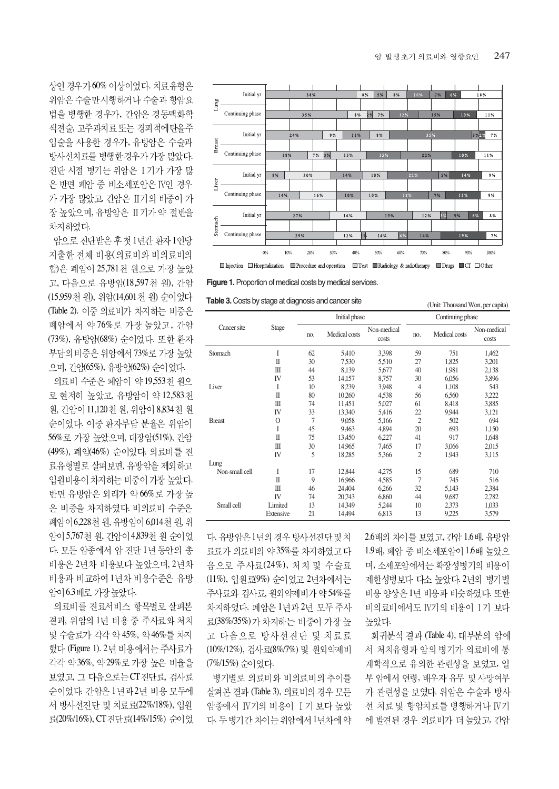상인 경우가 60% 이상이었다. 치료유형은 위암은 수술만 시행하거나 수술과 항암요 법을 병행한 경우가, 간암은 경동맥화학 색전술, 고주파치료 또는 경피적에탄올주 입술을 사용한 경우가, 유방암은 수술과 방사선치료를 병행한 경우가 가장 많았다. 진단 시점 병기는 위암은 I 기가 가장 많 은 반면 폐암 중 비소세포암은 IV인 경우 가 가장 많았고, 간암은 II기의 비중이 가 장 높았으며, 유방암은 Ⅱ기가 약 절반을 차지하였다.

암으로 진단받은 후 첫 1년간 환자 1인당 지출한 전체 비용(의료비와 비의료비의 합)은 폐암이 25,781천 원으로 가장 높았 고, 다음으로 유방암(18,597천 원), 간암 (15,959 천 원), 위암(14,601 천 원) 순이었다 (Table 2). 이중 의료비가 차지하는 비중은 폐암에서 약 76%로 가장 높았고, 간암 (73%), 유방암(68%) 순이었다. 또한 환자 부담의 비중은 위암에서 73%로 가장 높았

으며, 간암(65%), 유방암(62%) 순이었다. 의료비 수주은 폐암이 약 19.553 천 원으 로 현저히 높았고, 유방암이 약 12,583천 원, 간암이 11,120천 원, 위암이 8,834천 원 수이었다. 이중 화자부담 부율은 위암이 56% 로 가장 높았으며, 대장암(51%), 간암 (49%), 폐암(46%) 순이었다. 의료비를 진 료유형별로 살펴보면, 유방암을 제외하고 입원비용이 차지하는 비중이 가장 높았다. 반면 유방암은 외래가 약 66%로 가장 높 은 비중을 차지하였다. 비의료비 수준은 폐암이 6,228천 원, 유방암이 6,014천 원, 위 암이 5,767천 원, 간암이 4,839천 원 순이었 다. 모든 암종에서 암 진단 1년 동안의 총 비용은 2년차 비용보다 높았으며, 2년차 비용과 비교하여 1년차 비용수준은 유방 암이 6.3 배로 가장 높았다.

의료비를 진료서비스 항목별로 살펴본 결과, 위암의 1년 비용 중 주사료와 처치 및 수술료가 각각 약 45%, 약 46%를 차지 했다 (Figure 1). 2년 비용에서는 주사료가 각각 약36%, 약29%로 가장 높은 비율을 보였고, 그 다음으로는 CT 진단료, 검사료 순이었다. 간암은 1년과 2년 비용 모두에 서 방사선진단 및 치료료(22%/18%), 입원 료(20%/16%), CT 진단료(14%/15%) 순이었



**Figure 1.**Proportion of medical costs by medical services.

**Table 3.** Costs by stage at diagnosis and cancer site

| (Unit: Thousand Won, per capita) |  |
|----------------------------------|--|
|----------------------------------|--|

|                |              |     | Initial phase  |                      | Continuing phase |               |                      |  |
|----------------|--------------|-----|----------------|----------------------|------------------|---------------|----------------------|--|
| Cancer site    | <b>Stage</b> | no. | Medical costs  | Non-medical<br>costs | no.              | Medical costs | Non-medical<br>costs |  |
| Stomach        | I            | 62  | 5,410          | 3,398                | 59               | 751           | 1,462                |  |
|                | Π            | 30  | 7,530          | 5.510                | 27               | 1.825         | 3.201                |  |
|                | Ш            | 44  | 8,139<br>5,677 |                      | 40               | 1.981         | 2,138                |  |
|                | IV           | 53  | 14,157         | 8.757                | 30               | 6,056         | 3,896                |  |
| Liver          | I            | 10  | 8.239          | 3.948                | $\overline{4}$   | 1,108         | 543                  |  |
|                | $\mathbb I$  | 80  | 10,260         | 4,538                | 56               | 6,560         | 3,222                |  |
|                | Ш            | 74  | 11,451         | 5,027                | 61               | 8,418         | 3,885                |  |
|                | IV<br>33     |     | 13,340         | 5,416                | 22               | 9.944         | 3,121                |  |
| <b>Breast</b>  | $\Omega$     | 7   | 9,058          | 5,166                | $\overline{2}$   | 502           | 694                  |  |
|                | I            | 45  | 9,463          | 4,894                | 20               | 693           | 1,150                |  |
|                | $\mathbb{I}$ | 75  | 13,450         | 6,227                | 41               | 917           | 1,648                |  |
|                | Ш            | 30  | 14,965         | 7,465                | 17               | 3,066         | 2,015                |  |
|                | IV           | 5   | 18,285         | 5,366                | 2                | 1.943         | 3,115                |  |
| Lung           |              |     |                |                      |                  |               |                      |  |
| Non-small cell | I            | 17  | 12,844         | 4,275                | 15               | 689           | 710                  |  |
|                | $\mathbb I$  | 9   | 16.966         | 4,585                | 7                | 745           | 516                  |  |
|                | Ш            | 46  | 24,404         | 6.266                | 32               | 5,143         | 2,384                |  |
|                | IV           | 74  | 20,743         | 6,860                | 44               | 9,687         | 2,782                |  |
| Small cell     | Limited      | 13  | 14,349         | 5.244                | 10               | 2,373         | 1,033                |  |
|                | Extensive    | 21  | 14,494         | 6,813                | 13               | 9,225         | 3,579                |  |

다. 유방암은 1년의 경우 방사선진단 및 치 료료가 의료비의 약35%를 차지하였고다 음으로 주사료(24%), 처치 및 수술료 (11%), 입원료(9%) 순이었고 2년차에서는 주사료와 검사료, 워외약제비가 약 54%를 차지하였다. 폐암은 1년과 2년 모두 주사 료(38%/35%)가 차지하는 비중이 가장 높 고 다음으로 방사선진단 및 치료료 (10%/12%), 검사료(8%/7%) 및 원외약제비 (7%/15%) 순이었다.

병기별로 의료비와 비의료비의 추이를 살펴본 결과 (Table 3), 의료비의 경우 모든 암종에서 IV기의 비용이 I 기 보다 높았 다. 두 병기간 차이는 위암에서 1년차에 약 2.6배의 차이를 보였고, 간암 1.6배, 유방암 1.9배, 폐암 중 비소세포암이 1.6배 높았으 며, 소세포암에서는 확장성병기의 비용이 제한성병보다 다소 높았다. 2년의 병기별 비용 양상은 1년 비용과 비슷하였다. 또한 비의료비에서도 IV기의 비용이 I 기 보다 높았다.

회귀분석 결과 (Table 4), 대부분의 암에 서 처치유형과 암의 병기가 의료비에 통 계학적으로 유의한 관련성을 보였고, 일 부 암에서 연령, 배우자 유무 및 사망여부 가 관련성을 보였다. 위암은 수술과 방사 선 치료 및 항암치료를 병행하거나 IV기 에 발견된 경우 의료비가 더 높았고, 간암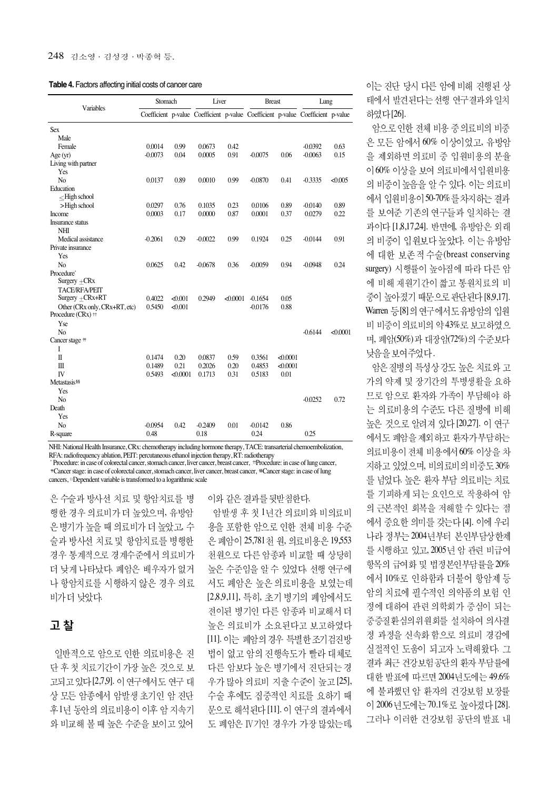| Variables                                                  | Stomach   |          | Liver     |          | <b>Breast</b>                                                                   |          | Lung      |          |
|------------------------------------------------------------|-----------|----------|-----------|----------|---------------------------------------------------------------------------------|----------|-----------|----------|
|                                                            |           |          |           |          | Coefficient p-value Coefficient p-value Coefficient p-value Coefficient p-value |          |           |          |
| <b>Sex</b>                                                 |           |          |           |          |                                                                                 |          |           |          |
| Male                                                       |           |          |           |          |                                                                                 |          |           |          |
| Female                                                     | 0.0014    | 0.99     | 0.0673    | 0.42     |                                                                                 |          | $-0.0392$ | 0.63     |
| Age(yr)                                                    | $-0.0073$ | 0.04     | 0.0005    | 0.91     | $-0.0075$                                                                       | 0.06     | $-0.0063$ | 0.15     |
| Living with partner                                        |           |          |           |          |                                                                                 |          |           |          |
| Yes                                                        |           |          |           |          |                                                                                 |          |           |          |
| N <sub>o</sub>                                             | 0.0137    | 0.89     | 0.0010    | 0.99     | $-0.0870$                                                                       | 0.41     | $-0.3335$ | < 0.005  |
| Education                                                  |           |          |           |          |                                                                                 |          |           |          |
| $\leq$ High school                                         |           |          |           |          |                                                                                 |          |           |          |
| >High school                                               | 0.0297    | 0.76     | 0.1035    | 0.23     | 0.0106                                                                          | 0.89     | $-0.0140$ | 0.89     |
| Income                                                     | 0.0003    | 0.17     | 0.0000    | 0.87     | 0.0001                                                                          | 0.37     | 0.0279    | 0.22     |
| Insurance status                                           |           |          |           |          |                                                                                 |          |           |          |
| NHI                                                        |           |          |           |          |                                                                                 |          |           |          |
| Medical assistance                                         | $-0.2061$ | 0.29     | $-0.0022$ | 0.99     | 0.1924                                                                          | 0.25     | $-0.0144$ | 0.91     |
| Private insurance                                          |           |          |           |          |                                                                                 |          |           |          |
| Yes                                                        |           |          |           |          |                                                                                 |          |           |          |
| N <sub>o</sub>                                             | 0.0625    | 0.42     | $-0.0678$ | 0.36     | $-0.0059$                                                                       | 0.94     | $-0.0948$ | 0.24     |
| Procedure <sup>*</sup>                                     |           |          |           |          |                                                                                 |          |           |          |
| Surgery $+CRx$                                             |           |          |           |          |                                                                                 |          |           |          |
| <b>TACE/RFA/PEIT</b>                                       |           |          |           |          |                                                                                 |          |           |          |
| Surgery $+CRx+RT$                                          | 0.4022    | < 0.001  | 0.2949    | < 0.0001 | $-0.1654$                                                                       | 0.05     |           |          |
| Other (CRx only, CRx+RT, etc)                              | 0.5450    | &0.001   |           |          | $-0.0176$                                                                       | 0.88     |           |          |
| Procedure $(CRx)$ <sup><math>\uparrow\uparrow</math></sup> |           |          |           |          |                                                                                 |          |           |          |
| Yse                                                        |           |          |           |          |                                                                                 |          |           |          |
| N <sub>o</sub>                                             |           |          |           |          |                                                                                 |          | $-0.6144$ | < 0.0001 |
| Cancer stage <sup>##</sup>                                 |           |          |           |          |                                                                                 |          |           |          |
| I                                                          |           |          |           |          |                                                                                 |          |           |          |
| $\mathbb{I}$                                               | 0.1474    | 0.20     | 0.0837    | 0.59     | 0.3561                                                                          | < 0.0001 |           |          |
| $\mathbf{I}$                                               | 0.1489    | 0.21     | 0.2026    | 0.20     | 0.4853                                                                          | < 0.0001 |           |          |
| IV                                                         | 0.5493    | < 0.0001 | 0.1713    | 0.31     | 0.5183                                                                          | 0.01     |           |          |
| Metastasis <sup>§§</sup>                                   |           |          |           |          |                                                                                 |          |           |          |
| Yes                                                        |           |          |           |          |                                                                                 |          |           |          |
| No                                                         |           |          |           |          |                                                                                 |          | $-0.0252$ | 0.72     |
| Death                                                      |           |          |           |          |                                                                                 |          |           |          |
| Yes                                                        |           |          |           |          |                                                                                 |          |           |          |
| No                                                         | $-0.0954$ | 0.42     | $-0.2409$ | 0.01     | $-0.0142$                                                                       | 0.86     |           |          |
| R-square                                                   | 0.48      |          | 0.18      |          | 0.24                                                                            |          | 0.25      |          |

NHI: National Health Insurance, CRx: chemotherapy including hormone therapy, TACE: transarterial chemoembolization, RFA: radiofrequency ablation, PEIT: percutaneous ethanol injection therapy, RT: radiotherapy

\* Procedure: in case of colorectal cancer, stomach cancer, liver cancer, breast cancer, #Procedure: in case of lung cancer, <sup>#</sup>Cancer stage: in case of colorectal cancer, stomach cancer, liver cancer, breast cancer, <sup>§§</sup>Cancer stage: in case of lung cancers, <sup>II</sup>Dependent variable is transformed to a logarithmic scale

은 수술과 방사선 치료 및 항암치료를 병 행한 경우 의료비가 더 높았으며, 유방암 은 병기가 높을 때 의료비가 더 높았고, 수 술과 방사선 치료 및 항암치료를 병행한 경우 통계적으로 경계수준에서 의료비가 더 낮게 나타났다. 폐암은 배우자가 없거 나 항암치료를 시행하지 않은 경우 의료 비가더 낮았다.

## 고찰

일반적으로 암으로 인한 의료비용은 진 단후 첫 치료기간이 가장 높은 것으로 보 고되고 있다 [2,7,9]. 이 연구에서도 연구 대 상 모든 암종에서 암발생 초기인 암 진단 후1년 동안의 의료비용이 이후 암 지속기 와 비교해 볼 때 높은 수준을 보이고 있어

이와 같은 결과를 뒷받침한다.

암발생 후 첫 1년간 의료비와 비의료비 용을 포함한 암으로 인한 전체 비용 수준 은 폐암이 25,781 천 원, 의료비용은 19,553 천원으로 다른 암종과 비교할 때 상당히 높은 수준임을 알 수 있었다. 선행 연구에 서도 폐암은 높은 의료비용을 보였는데 [2,8,9,11], 특히, 초기 병기의 폐암에서도 전이된 병기인 다른 암종과 비교해서 더 높은 의료비가 소요된다고 보고하였다 [11]. 이는 폐암의 경우 특별한 조기검진방 법이 없고 암의 진행속도가 빨라 대체로 다른 암보다 높은 병기에서 진단되는 경 우가 많아 의료비 지출 수준이 높고 [25], 수술 후에도 집중적인 치료를 요하기 때 문으로 해석된다 [11]. 이 연구의 결과에서 도 폐암은 IV기인 경우가 가장 많았는데,

이는 진단 당시 다른 암에 비해 진행된 상 태에서 발견된다는 선행 연구결과와일치 하였다[26].

암으로 인한 전체 비용 중의료비의 비중 은 모든 암에서 60% 이상이었고, 유방암 을 제외하면 의료비 중 입원비용의 분율 이 60% 이상을 보여 의료비에서 입원비용 의 비중이 높음을 알 수 있다. 이는 의료비 에서 입원비용이 50-70%를 차지하는 결과 를 보여준 기존의 연구들과 일치하는 결 과이다 [1,8,17,24]. 반면에, 유방암은 외래 의 비중이 입원보다 높았다. 이는 유방암 에 대한 보존적 수술(breast conserving surgery) 시행률이 높아짐에 따라 다른 암 에 비해 재원기간이 짧고 통원치료의 비 중이 높아졌기 때문으로 판단된다 [8,9,17]. Warren 등 [8]의 연구에서도 유방암의 입원 비 비중이 의료비의 약 43%로 보고하였으 며, 폐암(50%) 과 대장암(72%)의 수준 보다 낮음을 보여주었다.

암은 질병의 특성상 강도 높은 치료와 고 가의 약제 및 장기간의 투병생활을 요하 므로 암으로 환자와 가족이 부담해야 하 는 의료비용의 수준도 다른 질병에 비해 높은 것으로 알려져 있다 [20.27]. 이 연구 에서도 폐암을 제외하고 환자가 부담하는 의료비용이 전체 비용에서 60% 이상을 차 지하고 있었으며, 비의료비의 비중도 30% 를 넘었다. 높은 환자 부담 의료비는 치료 를 기피하게 되는 요인으로 작용하여 암 의 근본적인 회복을 저해할 수 있다는 점 에서 중요한 의미를 갖는다 [4]. 이에 우리 나라 정부는 2004년부터 본인부담상한제 를 시행하고 있고, 2005년 암 관련 비급여 항목의 급여화 및 법정본인부담률을 20% 에서 10%로 인하함과 더불어 항암제 등 암의 치료에 필수적인 의약품의 보험 인 정에 대하여 관련 의학회가 중심이 되는 중증질환심의위원회를 설치하여 의사결 정 과정을 신속화 함으로 의료비 경감에 실절적인 도움이 되고자 노력해왔다. 그 결과 최근 건강보험공단의 환자 부담률에 대한 발표에 따르면 2004년도에는 49.6% 에 불과했던 암 환자의 건강보험 보장률 이 2006년도에는 70.1%로 높아졌다 [28]. 그러나 이러한 건강보험 공단의 발표 내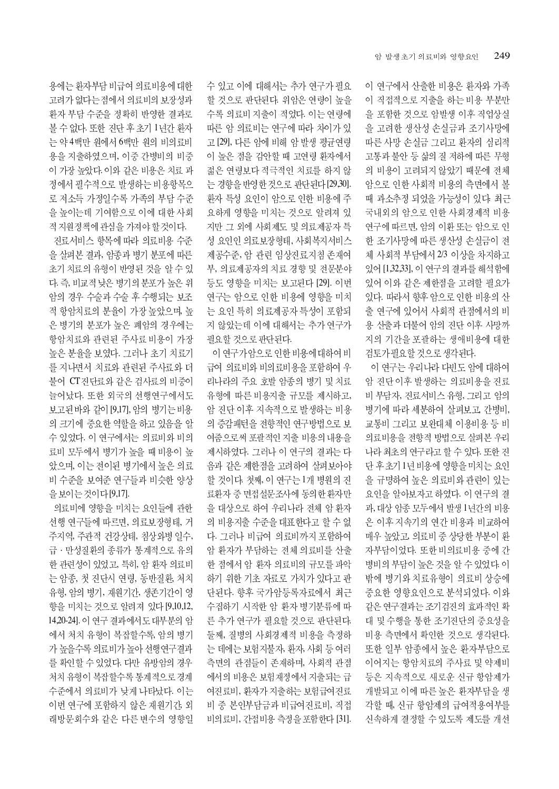이 연구에서 산출한 비용은 환자와 가족 이 직접적으로 지출을 하는 비용 부분만 을 포함한 것으로 암발생 이후 직업상실 을 고려한 생산성 손실금과 조기사망에 따른 사망 손실금 그리고 환자의 심리적 고통과 불안 등 삶의 질 저하에 따른 무형 의 비용이 고려되지 않았기 때문에 전체 암으로 인한 사회적 비용의 측면에서 볼 때 과소추정 되었을 가능성이 있다. 최근 국내외의 암으로 인한 사회경제적 비용 연구에 따르면, 암의 이환 또는 암으로 인 한 조기사망에 따른 생산성 손실금이 전 체 사회적 부담에서 2/3 이상을 차지하고 있어 [1,32,33], 이 연구의 결과를 해석함에 있어 이와 같은 제한점을 고려할 필요가 있다. 따라서 향후 암으로 인한 비용의 산 출 연구에 있어서 사회적 관점에서의 비 용 산출과 더불어 암의 진단 이후 사망까 지의 기간을 포괄하는 생애비용에 대한 검토가 필요할 것으로 생각된다.

이 연구는 우리나라 다빈도 암에 대하여 암 진단 이후 발생하는 의료비용을 진료 비 부담자, 진료서비스 유형, 그리고 암의 병기에 따라 세분하여 살펴보고, 간병비, 교통비 그리고 보완대체 이용비용 등 비 의료비용을 전향적 방법으로 살펴본 우리 나라 최초의 연구라고 할 수 있다. 또한 진 단 후 초기 1년 비용에 영향을 미치는 요인 을 규명하여 높은 의료비와 관련이 있는 요인을 알아보자고 하였다. 이 연구의 결 과, 대상 암종 모두에서 발생 1년간의 비용 은 이후 지속기의 연간 비용과 비교하여 매우 높았고, 의료비 중 상당한 부분이 환 자부담이었다. 또한 비의료비용 중에 간 병비의 부담이 높은 것을 알 수 있었다. 이 밖에 병기와 치료유형이 의료비 상승에 중요한 영향요인으로 분석되었다. 이와 같은 연구결과는 조기검진의 효과적인 확 대 및 수행을 통한 조기진단의 중요성을 비용 측면에서 확인한 것으로 생각된다. 또한 일부 암종에서 높은 환자부담으로 이어지는 항암치료의 주사료 및 약제비 등은 지속적으로 새로운 신규 항암제가 개발되고 이에 따른 높은 환자부담을 생 각할 때, 신규 항암제의 급여적용여부를 신속하게 결정할 수 있도록 제도를 개선

수 있고 이에 대해서는 추가 연구가 필요 할 것으로 판단된다. 위암은 연령이 높을 수록 의료비 지출이 적었다. 이는 연령에 따른 암 의료비는 연구에 따라 차이가 있 고 [29], 다른 암에 비해 암 발생 평균연령 이 높은 점을 감안할 때 고연령 환자에서 젊은 연령보다 적극적인 치료를 하지 않 는 경향을 반영한 것으로 판단된다 [29,30]. 환자 특성 요인이 암으로 인한 비용에 주 요하게 영향을 미치는 것으로 알려져 있 지만 그 외에 사회제도 및 의료제공자 특 성 요인인 의료보장형태, 사회복지서비스 제공수준, 암 관련 임상진료지침 존재여 부, 의료제공자의 치료 경향 및 전문분야 등도 영향을 미치는 보고된다 [29]. 이번 연구는 암으로 인한 비용에 영향을 미치 는 요인 특히 의료제공자 특성이 포함되 지 않았는데 이에 대해서는 추가 연구가 필요할 것으로 판단된다.

이 연구가 암으로 인한 비용에 대하여 비 급여 의료비와 비의료비용을 포함하여 우 리나라의 주요 호발 암종의 병기 및 치료 유형에 따른 비용지출 규모를 제시하고, 암 진단 이후 지속적으로 발생하는 비용 의 증감패턴을 전향적인 연구방법으로 보 여줌으로써 포괄적인 지출 비용의 내용을 제시하였다. 그러나 이 연구의 결과는 다 음과 같은 제한점을 고려하여 살펴보아야 할 것이다. 첫째, 이 연구는 1개 병원의 진 료환자 중 면접설문조사에 동의한 환자만 을 대상으로 하여 우리나라 전체 암 환자 의 비용지출 수준을 대표한다고 할 수 없 다. 그러나 비급여 의료비까지 포함하여 암 환자가 부담하는 전체 의료비를 산출 한 점에서 암 환자 의료비의 규모를 파악 하기 위한 기초 자료로 가치가 있다고 판 단된다. 향후 국가암등록자료에서 최근 수집하기 시작한 암 환자 병기분류에 따 른 추가 연구가 필요할 것으로 판단된다. 둘째, 질병의 사회경제적 비용을 측정하 는 데에는 보험지불자, 환자, 사회 등 여러 측면의 관점들이 존재하며, 사회적 관점 에서의 비용은 보험재정에서 지출되는 급 여진료비, 환자가 지출하는 보험급여진료 비 중 본인부담금과 비급여진료비, 직접 비의료비, 간접비용 측정을 포함한다 [31].

용에는 환자부담 비급여 의료비용에 대한 고려가 없다는 점에서 의료비의 보장성과 환자 부담 수준을 정확히 반영한 결과로 볼 수 없다. 또한 진단 후 초기 1년간 환자 는 약 4백만 원에서 6백만 원의 비의료비 용을 지출하였으며, 이중 간병비의 비중 이 가장 높았다. 이와 같은 비용은 치료 과 정에서 필수적으로 발생하는 비용항목으 로 저소득 가정일수록 가족의 부담 수준 을 높이는데 기여함으로 이에 대한 사회 적 지원정책에 관심을 가져야 할 것이다.

진료서비스 항목에 따라 의료비용 수준 을 살펴본 결과, 암종과 병기 분포에 따른 초기 치료의 유형이 반영된 것을 알 수 있 다. 즉, 비교적 낮은 병기의 분포가 높은 위 암의 경우 수술과 수술 후 수행되는 보조 적 항암치료의 분율이 가장 높았으며, 높 은 병기의 분포가 높은 폐암의 경우에는 항암치료와 관련된 주사료 비용이 가장 높은 분율을 보였다. 그러나 초기 치료기 를 지나면서 치료와 관련된 주사료와 더 불어 CT 지단료와 같은 검사료의 비중이 늘어났다. 또한 외국의 선행연구에서도 보고된 바와 같이 [9,17], 암의 병기는 비용 의 크기에 중요한 역할을 하고 있음을 알 수 있었다. 이 연구에서는 의료비와 비의 료비 모두에서 병기가 높을 때 비용이 높 았으며, 이는 전이된 병기에서 높은 의료 비 수준을 보여준 연구들과 비슷한 양상 을 보이는 것이다 [9,17].

의료비에 영향을 미치는 요인들에 관한 선행 연구들에 따르면, 의료보장형태, 거 주지역, 주관적 건강상태, 침상와병 일수, 급 · 만성질환의 종류가 통계적으로 유의 한 관련성이 있었고, 특히, 암 환자 의료비 는 암종, 첫 진단시 연령, 동반질환, 처치 유형, 암의 병기, 재원기간, 생존기간이 영 향을 미치는 것으로 알려져 있다 [9,10,12, 14,20-24]. 이 연구 결과에서도 대부분의 암 에서 처치 유형이 복잡할수록, 암의 병기 가 높을수록 의료비가 높아 선행연구결과 를 확인할 수 있었다. 다만 유방암의 경우 처치 유형이 복잡할수록 통계적으로 경계 수준에서 의료비가 낮게 나타났다. 이는 이번 연구에 포함하지 않은 재원기간, 외 래방문회수와 같은 다른 변수의 영향일